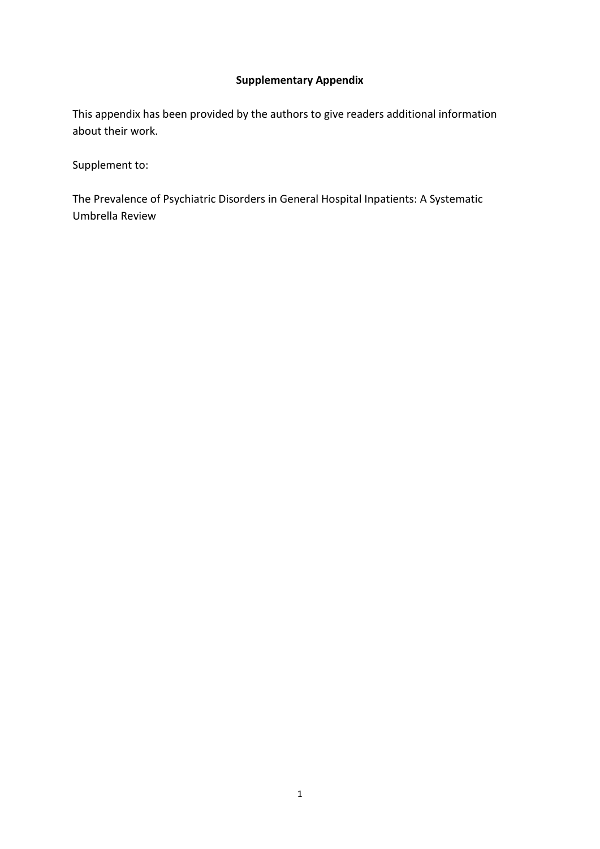### **Supplementary Appendix**

This appendix has been provided by the authors to give readers additional information about their work.

Supplement to:

The Prevalence of Psychiatric Disorders in General Hospital Inpatients: A Systematic Umbrella Review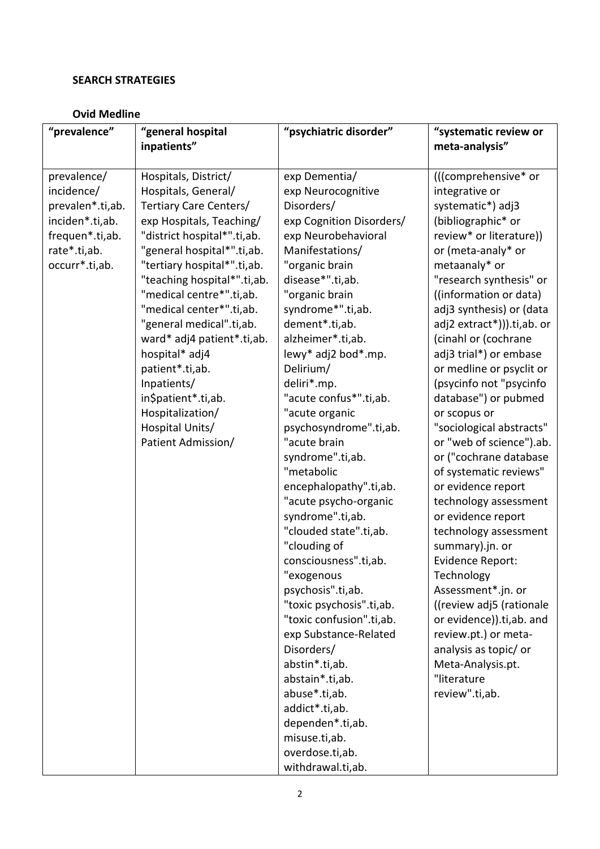#### **SEARCH STRATEGIES**

### **Ovid Medline**

| "prevalence"     | "general hospital           | "psychiatric disorder"   | "systematic review or      |
|------------------|-----------------------------|--------------------------|----------------------------|
|                  | inpatients"                 |                          | meta-analysis"             |
|                  |                             |                          |                            |
| prevalence/      | Hospitals, District/        | exp Dementia/            | (((comprehensive* or       |
| incidence/       | Hospitals, General/         | exp Neurocognitive       | integrative or             |
| prevalen*.ti,ab. | Tertiary Care Centers/      | Disorders/               | systematic*) adj3          |
| inciden*.ti,ab.  | exp Hospitals, Teaching/    | exp Cognition Disorders/ | (bibliographic* or         |
| frequen*.ti,ab.  | "district hospital*".ti,ab. | exp Neurobehavioral      | review* or literature))    |
| rate*.ti,ab.     | "general hospital*".ti,ab.  | Manifestations/          | or (meta-analy* or         |
| occurr*.ti,ab.   | "tertiary hospital*".ti,ab. | "organic brain           | metaanaly* or              |
|                  | "teaching hospital*".ti,ab. | disease*".ti,ab.         | "research synthesis" or    |
|                  | "medical centre*".ti,ab.    | "organic brain           | ((information or data)     |
|                  | "medical center*".ti,ab.    | syndrome*".ti,ab.        | adj3 synthesis) or (data   |
|                  | "general medical".ti,ab.    | dement*.ti,ab.           | adj2 extract*))).ti,ab. or |
|                  | ward* adj4 patient*.ti,ab.  | alzheimer*.ti,ab.        | (cinahl or (cochrane       |
|                  | hospital* adj4              | lewy* adj2 bod*.mp.      | adj3 trial*) or embase     |
|                  | patient*.ti,ab.             | Delirium/                | or medline or psyclit or   |
|                  | Inpatients/                 | deliri*.mp.              | (psycinfo not "psycinfo    |
|                  | in\$patient*.ti,ab.         | "acute confus*".ti,ab.   | database") or pubmed       |
|                  | Hospitalization/            | "acute organic           | or scopus or               |
|                  | Hospital Units/             | psychosyndrome".ti,ab.   | "sociological abstracts"   |
|                  | Patient Admission/          | "acute brain             | or "web of science").ab.   |
|                  |                             | syndrome".ti,ab.         | or ("cochrane database     |
|                  |                             | "metabolic               | of systematic reviews"     |
|                  |                             | encephalopathy".ti,ab.   | or evidence report         |
|                  |                             | "acute psycho-organic    | technology assessment      |
|                  |                             | syndrome".ti,ab.         | or evidence report         |
|                  |                             | "clouded state".ti,ab.   | technology assessment      |
|                  |                             | "clouding of             | summary).jn. or            |
|                  |                             | consciousness".ti,ab.    | Evidence Report:           |
|                  |                             | 'exogenous               | Technology                 |
|                  |                             | psychosis".ti,ab.        | Assessment*.jn. or         |
|                  |                             | "toxic psychosis".ti,ab. | ((review adj5 (rationale   |
|                  |                             | "toxic confusion".ti,ab. | or evidence)).ti,ab. and   |
|                  |                             | exp Substance-Related    | review.pt.) or meta-       |
|                  |                             | Disorders/               | analysis as topic/ or      |
|                  |                             | abstin*.ti,ab.           | Meta-Analysis.pt.          |
|                  |                             | abstain*.ti,ab.          | "literature                |
|                  |                             | abuse*.ti,ab.            | review".ti,ab.             |
|                  |                             | addict*.ti,ab.           |                            |
|                  |                             | dependen*.ti,ab.         |                            |
|                  |                             | misuse.ti,ab.            |                            |
|                  |                             | overdose.ti,ab.          |                            |
|                  |                             | withdrawal.ti,ab.        |                            |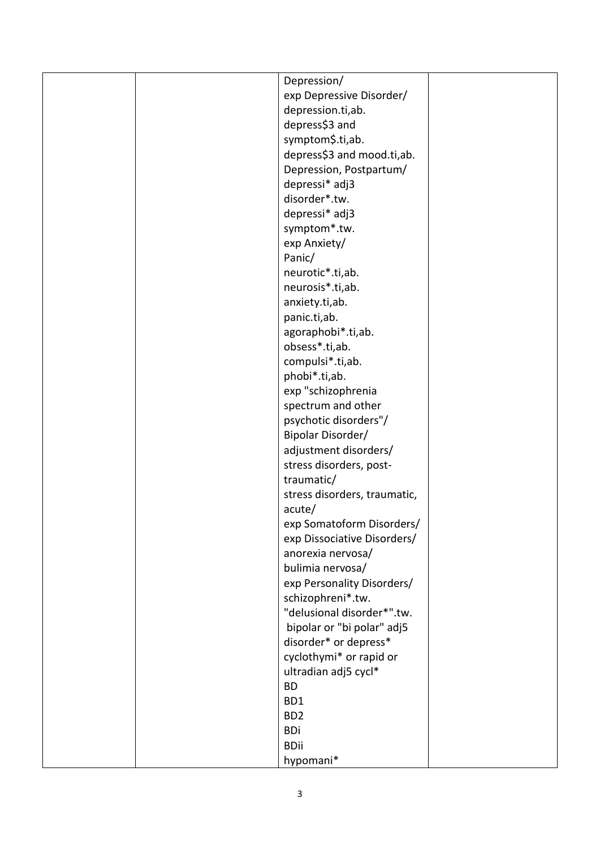|  | Depression/                  |  |
|--|------------------------------|--|
|  | exp Depressive Disorder/     |  |
|  | depression.ti,ab.            |  |
|  | depress\$3 and               |  |
|  | symptom\$.ti,ab.             |  |
|  | depress\$3 and mood.ti,ab.   |  |
|  | Depression, Postpartum/      |  |
|  | depressi* adj3               |  |
|  | disorder*.tw.                |  |
|  | depressi* adj3               |  |
|  | symptom*.tw.                 |  |
|  | exp Anxiety/                 |  |
|  | Panic/                       |  |
|  | neurotic*.ti,ab.             |  |
|  | neurosis*.ti,ab.             |  |
|  | anxiety.ti,ab.               |  |
|  | panic.ti,ab.                 |  |
|  | agoraphobi*.ti,ab.           |  |
|  | obsess*.ti,ab.               |  |
|  | compulsi*.ti,ab.             |  |
|  | phobi*.ti,ab.                |  |
|  | exp "schizophrenia           |  |
|  | spectrum and other           |  |
|  | psychotic disorders"/        |  |
|  | Bipolar Disorder/            |  |
|  | adjustment disorders/        |  |
|  | stress disorders, post-      |  |
|  | traumatic/                   |  |
|  | stress disorders, traumatic, |  |
|  | acute/                       |  |
|  | exp Somatoform Disorders/    |  |
|  | exp Dissociative Disorders/  |  |
|  | anorexia nervosa/            |  |
|  | bulimia nervosa/             |  |
|  | exp Personality Disorders/   |  |
|  | schizophreni*.tw.            |  |
|  | "delusional disorder*".tw.   |  |
|  | bipolar or "bi polar" adj5   |  |
|  | disorder* or depress*        |  |
|  | cyclothymi* or rapid or      |  |
|  | ultradian adj5 cycl*         |  |
|  | <b>BD</b>                    |  |
|  | BD1                          |  |
|  | BD <sub>2</sub>              |  |
|  | <b>BDi</b>                   |  |
|  | <b>BDii</b>                  |  |
|  | hypomani*                    |  |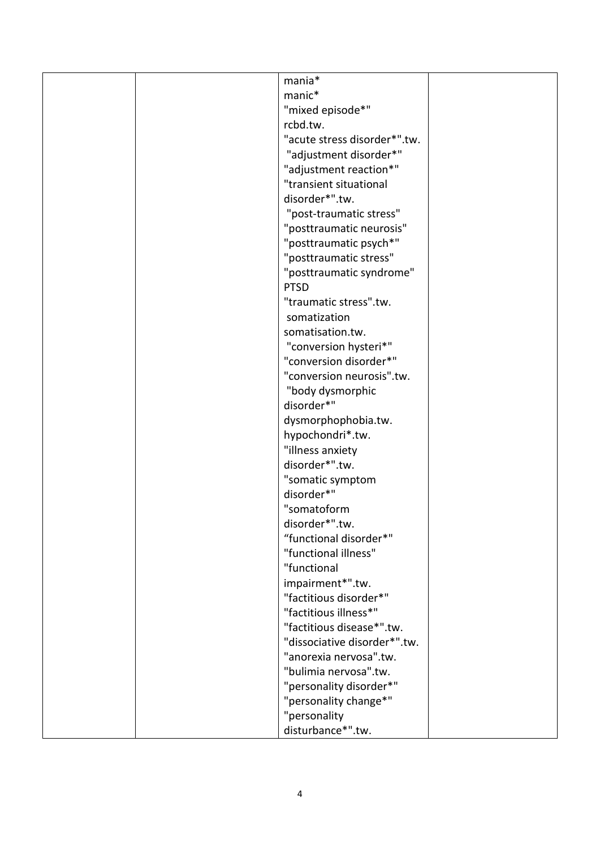|  | mania*                       |  |
|--|------------------------------|--|
|  | manic*                       |  |
|  | "mixed episode*"             |  |
|  | rcbd.tw.                     |  |
|  | "acute stress disorder*".tw. |  |
|  | "adjustment disorder*"       |  |
|  | "adjustment reaction*"       |  |
|  | "transient situational       |  |
|  | disorder*".tw.               |  |
|  | "post-traumatic stress"      |  |
|  | "posttraumatic neurosis"     |  |
|  | "posttraumatic psych*"       |  |
|  | "posttraumatic stress"       |  |
|  | "posttraumatic syndrome"     |  |
|  | <b>PTSD</b>                  |  |
|  | "traumatic stress".tw.       |  |
|  | somatization                 |  |
|  | somatisation.tw.             |  |
|  | "conversion hysteri*"        |  |
|  | "conversion disorder*"       |  |
|  | "conversion neurosis".tw.    |  |
|  | "body dysmorphic             |  |
|  | disorder*"                   |  |
|  | dysmorphophobia.tw.          |  |
|  | hypochondri*.tw.             |  |
|  | "illness anxiety             |  |
|  | disorder*".tw.               |  |
|  | "somatic symptom             |  |
|  | disorder*"                   |  |
|  | "somatoform                  |  |
|  | disorder*".tw.               |  |
|  | "functional disorder*"       |  |
|  | "functional illness"         |  |
|  | "functional                  |  |
|  | impairment*".tw.             |  |
|  | "factitious disorder*"       |  |
|  | "factitious illness*"        |  |
|  | "factitious disease*".tw.    |  |
|  | "dissociative disorder*".tw. |  |
|  | "anorexia nervosa".tw.       |  |
|  | "bulimia nervosa".tw.        |  |
|  | "personality disorder*"      |  |
|  | "personality change*"        |  |
|  | "personality                 |  |
|  | disturbance*".tw.            |  |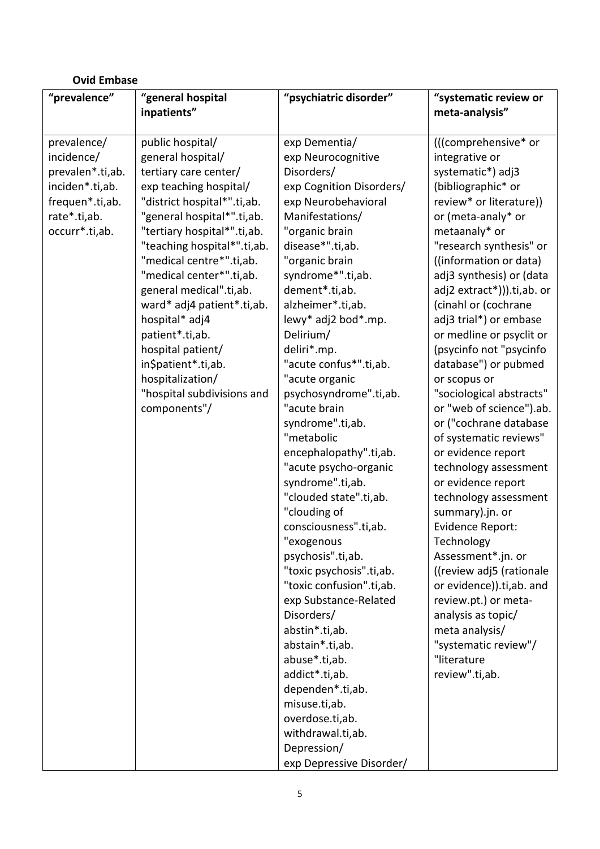| <b>Ovid Embase</b> |                             |                          |                            |
|--------------------|-----------------------------|--------------------------|----------------------------|
| "prevalence"       | "general hospital           | "psychiatric disorder"   | "systematic review or      |
|                    | inpatients"                 |                          | meta-analysis"             |
|                    |                             |                          |                            |
| prevalence/        | public hospital/            | exp Dementia/            | (((comprehensive* or       |
| incidence/         | general hospital/           | exp Neurocognitive       | integrative or             |
| prevalen*.ti,ab.   | tertiary care center/       | Disorders/               | systematic*) adj3          |
| inciden*.ti,ab.    | exp teaching hospital/      | exp Cognition Disorders/ | (bibliographic* or         |
| frequen*.ti,ab.    | "district hospital*".ti,ab. | exp Neurobehavioral      | review* or literature))    |
| rate*.ti,ab.       | "general hospital*".ti,ab.  | Manifestations/          | or (meta-analy* or         |
| occurr*.ti,ab.     | "tertiary hospital*".ti,ab. | "organic brain           | metaanaly* or              |
|                    | "teaching hospital*".ti,ab. | disease*".ti,ab.         | "research synthesis" or    |
|                    | "medical centre*".ti,ab.    | "organic brain           | ((information or data)     |
|                    | "medical center*".ti,ab.    | syndrome*".ti,ab.        | adj3 synthesis) or (data   |
|                    | general medical".ti,ab.     | dement*.ti,ab.           | adj2 extract*))).ti,ab. or |
|                    | ward* adj4 patient*.ti,ab.  | alzheimer*.ti,ab.        | (cinahl or (cochrane       |
|                    | hospital* adj4              | lewy* adj2 bod*.mp.      | adj3 trial*) or embase     |
|                    | patient*.ti,ab.             | Delirium/                | or medline or psyclit or   |
|                    | hospital patient/           | deliri*.mp.              | (psycinfo not "psycinfo    |
|                    | in\$patient*.ti,ab.         | "acute confus*".ti,ab.   | database") or pubmed       |
|                    | hospitalization/            | "acute organic           | or scopus or               |
|                    | "hospital subdivisions and  | psychosyndrome".ti,ab.   | "sociological abstracts"   |
|                    | components"/                | "acute brain             | or "web of science").ab.   |
|                    |                             | syndrome".ti,ab.         | or ("cochrane database     |
|                    |                             | "metabolic               | of systematic reviews"     |
|                    |                             | encephalopathy".ti,ab.   | or evidence report         |
|                    |                             | "acute psycho-organic    | technology assessment      |
|                    |                             | syndrome".ti,ab.         | or evidence report         |
|                    |                             | "clouded state".ti,ab.   | technology assessment      |
|                    |                             | "clouding of             | summary).jn. or            |
|                    |                             | consciousness".ti,ab.    | Evidence Report:           |
|                    |                             | "exogenous               | Technology                 |
|                    |                             | psychosis".ti,ab.        | Assessment*.jn. or         |
|                    |                             | "toxic psychosis".ti,ab. | ((review adj5 (rationale   |
|                    |                             | "toxic confusion".ti,ab. | or evidence)).ti,ab. and   |
|                    |                             | exp Substance-Related    | review.pt.) or meta-       |
|                    |                             | Disorders/               | analysis as topic/         |
|                    |                             | abstin*.ti,ab.           | meta analysis/             |
|                    |                             | abstain*.ti,ab.          | "systematic review"/       |
|                    |                             | abuse*.ti,ab.            | "literature                |
|                    |                             | addict*.ti,ab.           | review".ti,ab.             |
|                    |                             | dependen*.ti,ab.         |                            |
|                    |                             | misuse.ti,ab.            |                            |
|                    |                             | overdose.ti,ab.          |                            |
|                    |                             | withdrawal.ti,ab.        |                            |
|                    |                             | Depression/              |                            |
|                    |                             | exp Depressive Disorder/ |                            |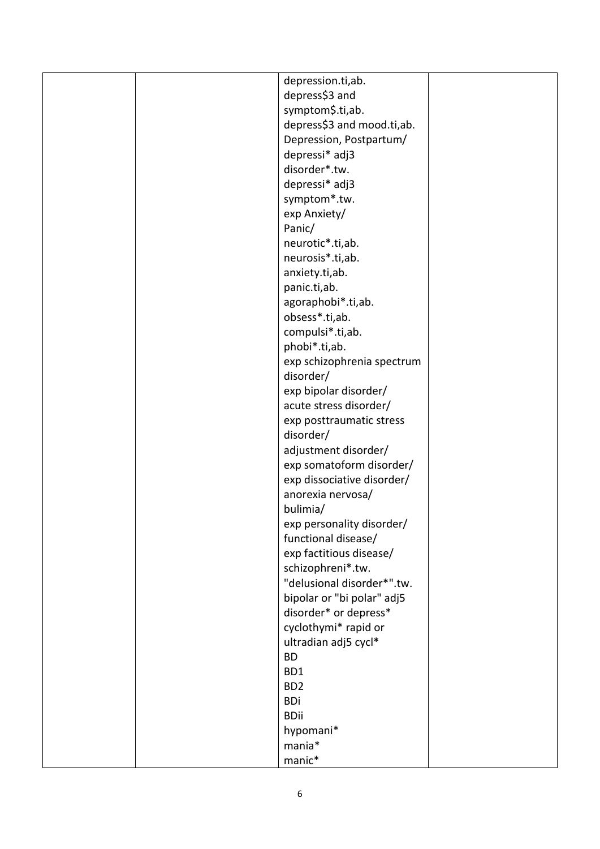|  | depression.ti,ab.               |  |
|--|---------------------------------|--|
|  | depress\$3 and                  |  |
|  | symptom\$.ti,ab.                |  |
|  | depress\$3 and mood.ti,ab.      |  |
|  | Depression, Postpartum/         |  |
|  |                                 |  |
|  | depressi* adj3<br>disorder*.tw. |  |
|  |                                 |  |
|  | depressi* adj3                  |  |
|  | symptom*.tw.                    |  |
|  | exp Anxiety/                    |  |
|  | Panic/                          |  |
|  | neurotic*.ti,ab.                |  |
|  | neurosis*.ti,ab.                |  |
|  | anxiety.ti,ab.                  |  |
|  | panic.ti,ab.                    |  |
|  | agoraphobi*.ti,ab.              |  |
|  | obsess*.ti,ab.                  |  |
|  | compulsi*.ti,ab.                |  |
|  | phobi*.ti,ab.                   |  |
|  | exp schizophrenia spectrum      |  |
|  | disorder/                       |  |
|  | exp bipolar disorder/           |  |
|  | acute stress disorder/          |  |
|  | exp posttraumatic stress        |  |
|  | disorder/                       |  |
|  | adjustment disorder/            |  |
|  | exp somatoform disorder/        |  |
|  | exp dissociative disorder/      |  |
|  | anorexia nervosa/               |  |
|  | bulimia/                        |  |
|  | exp personality disorder/       |  |
|  | functional disease/             |  |
|  | exp factitious disease/         |  |
|  | schizophreni*.tw.               |  |
|  | "delusional disorder*".tw.      |  |
|  | bipolar or "bi polar" adj5      |  |
|  | disorder* or depress*           |  |
|  | cyclothymi* rapid or            |  |
|  | ultradian adj5 cycl*            |  |
|  | <b>BD</b>                       |  |
|  | BD1                             |  |
|  | BD <sub>2</sub>                 |  |
|  | <b>BDi</b>                      |  |
|  | <b>BDii</b>                     |  |
|  | hypomani*                       |  |
|  | mania*                          |  |
|  | manic*                          |  |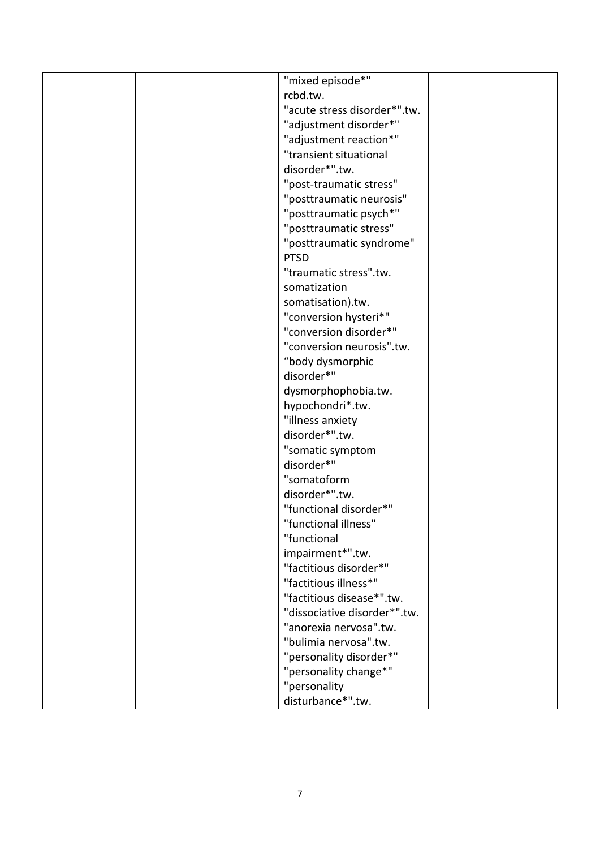|  | "mixed episode*"             |  |
|--|------------------------------|--|
|  | rcbd.tw.                     |  |
|  | "acute stress disorder*".tw. |  |
|  | "adjustment disorder*"       |  |
|  | "adjustment reaction*"       |  |
|  | "transient situational       |  |
|  | disorder*".tw.               |  |
|  | "post-traumatic stress"      |  |
|  | "posttraumatic neurosis"     |  |
|  | "posttraumatic psych*"       |  |
|  | "posttraumatic stress"       |  |
|  | "posttraumatic syndrome"     |  |
|  | <b>PTSD</b>                  |  |
|  | "traumatic stress".tw.       |  |
|  | somatization                 |  |
|  | somatisation).tw.            |  |
|  | "conversion hysteri*"        |  |
|  | "conversion disorder*"       |  |
|  | "conversion neurosis".tw.    |  |
|  | "body dysmorphic             |  |
|  | disorder*"                   |  |
|  | dysmorphophobia.tw.          |  |
|  | hypochondri*.tw.             |  |
|  | "illness anxiety             |  |
|  | disorder*".tw.               |  |
|  | "somatic symptom             |  |
|  | disorder*"                   |  |
|  | "somatoform                  |  |
|  | disorder*".tw.               |  |
|  | "functional disorder*"       |  |
|  | "functional illness"         |  |
|  | "functional                  |  |
|  | impairment*".tw.             |  |
|  | "factitious disorder*"       |  |
|  | "factitious illness*"        |  |
|  | "factitious disease*".tw.    |  |
|  | "dissociative disorder*".tw. |  |
|  | "anorexia nervosa".tw.       |  |
|  | "bulimia nervosa".tw.        |  |
|  | "personality disorder*"      |  |
|  | "personality change*"        |  |
|  | "personality                 |  |
|  | disturbance*".tw.            |  |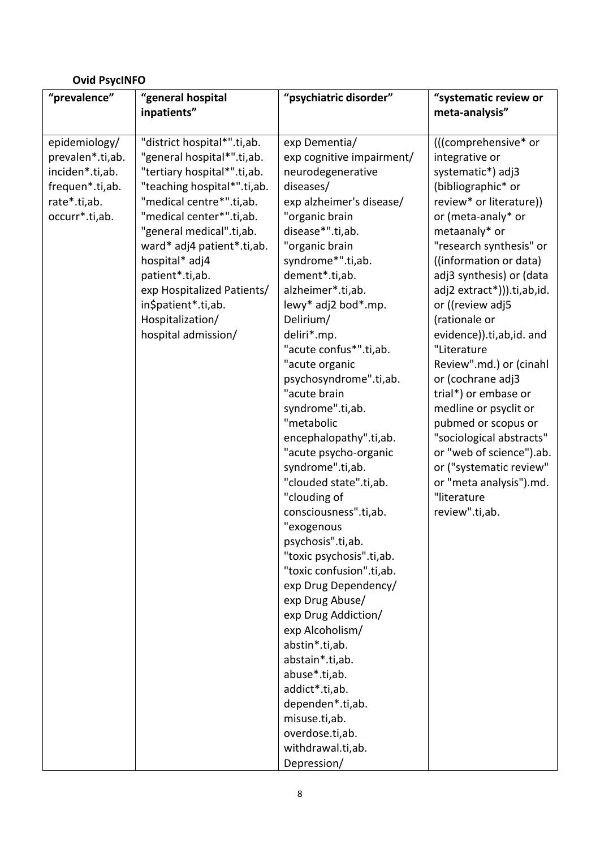# **Ovid PsycINFO**

| "prevalence"     | "general hospital<br>inpatients" | "psychiatric disorder"    | "systematic review or<br>meta-analysis" |
|------------------|----------------------------------|---------------------------|-----------------------------------------|
|                  |                                  |                           |                                         |
| epidemiology/    | "district hospital*".ti,ab.      | exp Dementia/             | (((comprehensive* or                    |
| prevalen*.ti,ab. | "general hospital*".ti,ab.       | exp cognitive impairment/ | integrative or                          |
| inciden*.ti,ab.  | "tertiary hospital*".ti,ab.      | neurodegenerative         | systematic*) adj3                       |
| frequen*.ti,ab.  | "teaching hospital*".ti,ab.      | diseases/                 | (bibliographic* or                      |
| rate*.ti,ab.     | "medical centre*".ti,ab.         | exp alzheimer's disease/  | review* or literature))                 |
| occurr*.ti,ab.   | "medical center*".ti,ab.         | "organic brain            | or (meta-analy* or                      |
|                  | "general medical".ti,ab.         | disease*".ti,ab.          | metaanaly* or                           |
|                  | ward* adj4 patient*.ti,ab.       | "organic brain            | "research synthesis" or                 |
|                  | hospital* adj4                   | syndrome*".ti,ab.         | ((information or data)                  |
|                  | patient*.ti,ab.                  | dement*.ti,ab.            | adj3 synthesis) or (data                |
|                  | exp Hospitalized Patients/       | alzheimer*.ti,ab.         | adj2 extract*))).ti,ab,id.              |
|                  | in\$patient*.ti,ab.              | lewy* adj2 bod*.mp.       | or ((review adj5                        |
|                  | Hospitalization/                 | Delirium/                 | (rationale or                           |
|                  | hospital admission/              | deliri*.mp.               | evidence)).ti,ab,id. and                |
|                  |                                  | "acute confus*".ti,ab.    | "Literature                             |
|                  |                                  | "acute organic            | Review".md.) or (cinahl                 |
|                  |                                  | psychosyndrome".ti,ab.    | or (cochrane adj3                       |
|                  |                                  | "acute brain              | trial*) or embase or                    |
|                  |                                  | syndrome".ti,ab.          | medline or psyclit or                   |
|                  |                                  | "metabolic                | pubmed or scopus or                     |
|                  |                                  | encephalopathy".ti,ab.    | "sociological abstracts"                |
|                  |                                  | "acute psycho-organic     | or "web of science").ab.                |
|                  |                                  | syndrome".ti,ab.          | or ("systematic review"                 |
|                  |                                  | "clouded state".ti,ab.    | or "meta analysis").md.                 |
|                  |                                  | "clouding of              | "literature                             |
|                  |                                  | consciousness".ti,ab.     | review".ti,ab.                          |
|                  |                                  | "exogenous                |                                         |
|                  |                                  | psychosis".ti,ab.         |                                         |
|                  |                                  | "toxic psychosis".ti,ab.  |                                         |
|                  |                                  | "toxic confusion".ti,ab.  |                                         |
|                  |                                  | exp Drug Dependency/      |                                         |
|                  |                                  | exp Drug Abuse/           |                                         |
|                  |                                  | exp Drug Addiction/       |                                         |
|                  |                                  | exp Alcoholism/           |                                         |
|                  |                                  | abstin*.ti,ab.            |                                         |
|                  |                                  | abstain*.ti,ab.           |                                         |
|                  |                                  | abuse*.ti,ab.             |                                         |
|                  |                                  | addict*.ti,ab.            |                                         |
|                  |                                  | dependen*.ti,ab.          |                                         |
|                  |                                  | misuse.ti,ab.             |                                         |
|                  |                                  | overdose.ti,ab.           |                                         |
|                  |                                  | withdrawal.ti,ab.         |                                         |
|                  |                                  | Depression/               |                                         |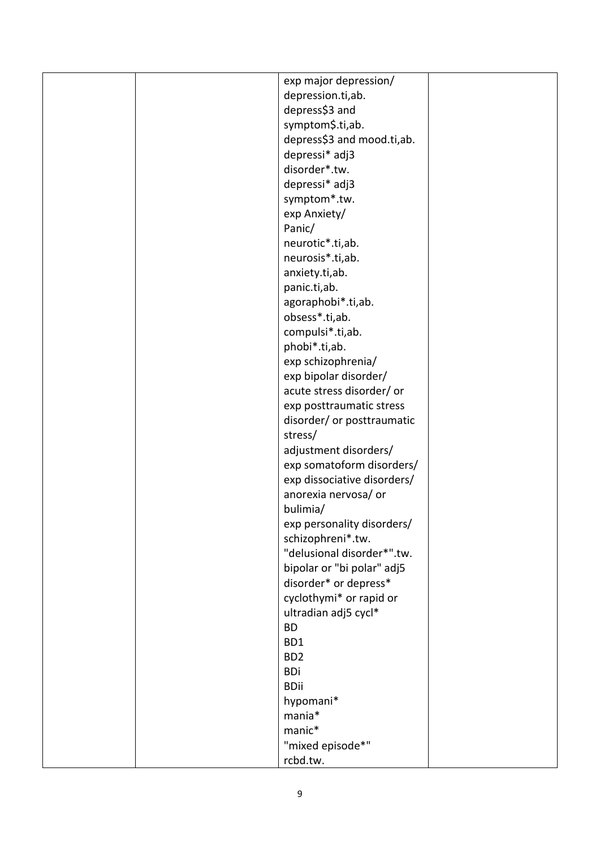|  | exp major depression/       |  |
|--|-----------------------------|--|
|  | depression.ti,ab.           |  |
|  | depress\$3 and              |  |
|  | symptom\$.ti,ab.            |  |
|  | depress\$3 and mood.ti,ab.  |  |
|  | depressi* adj3              |  |
|  | disorder*.tw.               |  |
|  | depressi* adj3              |  |
|  | symptom*.tw.                |  |
|  | exp Anxiety/                |  |
|  | Panic/                      |  |
|  | neurotic*.ti,ab.            |  |
|  | neurosis*.ti,ab.            |  |
|  | anxiety.ti,ab.              |  |
|  | panic.ti,ab.                |  |
|  | agoraphobi*.ti,ab.          |  |
|  | obsess*.ti,ab.              |  |
|  | compulsi*.ti,ab.            |  |
|  | phobi*.ti,ab.               |  |
|  | exp schizophrenia/          |  |
|  | exp bipolar disorder/       |  |
|  | acute stress disorder/ or   |  |
|  | exp posttraumatic stress    |  |
|  | disorder/ or posttraumatic  |  |
|  | stress/                     |  |
|  | adjustment disorders/       |  |
|  | exp somatoform disorders/   |  |
|  | exp dissociative disorders/ |  |
|  | anorexia nervosa/ or        |  |
|  | bulimia/                    |  |
|  | exp personality disorders/  |  |
|  | schizophreni*.tw.           |  |
|  | "delusional disorder*".tw.  |  |
|  | bipolar or "bi polar" adj5  |  |
|  | disorder* or depress*       |  |
|  | cyclothymi* or rapid or     |  |
|  | ultradian adj5 cycl*        |  |
|  | <b>BD</b>                   |  |
|  | BD1                         |  |
|  | BD <sub>2</sub>             |  |
|  | <b>BDi</b>                  |  |
|  | <b>BDii</b>                 |  |
|  | hypomani*                   |  |
|  | mania*                      |  |
|  | manic*                      |  |
|  | "mixed episode*"            |  |
|  | rcbd.tw.                    |  |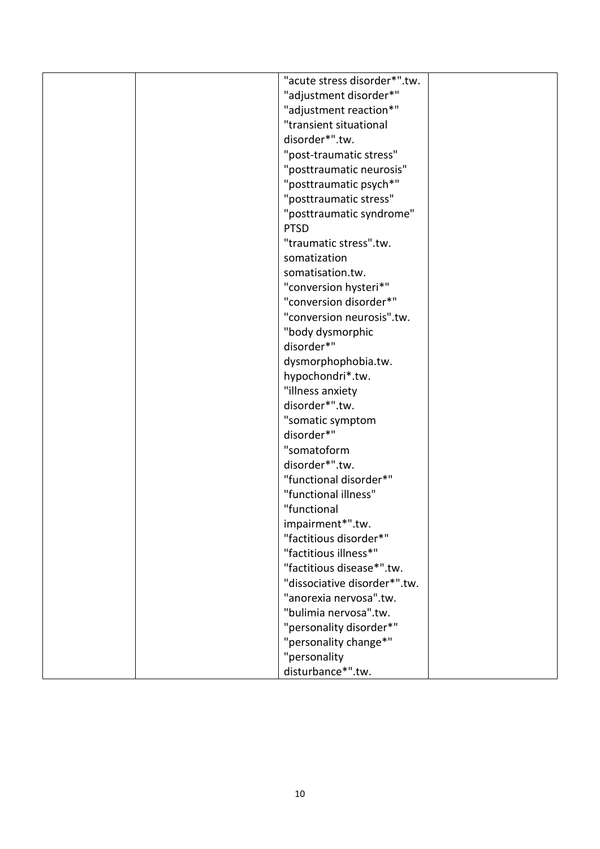|  | "acute stress disorder*".tw. |  |
|--|------------------------------|--|
|  | "adjustment disorder*"       |  |
|  | "adjustment reaction*"       |  |
|  | "transient situational       |  |
|  | disorder*".tw.               |  |
|  | "post-traumatic stress"      |  |
|  | "posttraumatic neurosis"     |  |
|  | "posttraumatic psych*"       |  |
|  | "posttraumatic stress"       |  |
|  | "posttraumatic syndrome"     |  |
|  | <b>PTSD</b>                  |  |
|  | "traumatic stress".tw.       |  |
|  | somatization                 |  |
|  | somatisation.tw.             |  |
|  | "conversion hysteri*"        |  |
|  | "conversion disorder*"       |  |
|  | "conversion neurosis".tw.    |  |
|  | "body dysmorphic             |  |
|  | disorder*"                   |  |
|  | dysmorphophobia.tw.          |  |
|  | hypochondri*.tw.             |  |
|  | "illness anxiety             |  |
|  | disorder*".tw.               |  |
|  | "somatic symptom             |  |
|  | disorder*"                   |  |
|  | "somatoform                  |  |
|  | disorder*".tw.               |  |
|  | "functional disorder*"       |  |
|  | "functional illness"         |  |
|  | "functional                  |  |
|  | impairment*".tw.             |  |
|  | "factitious disorder*"       |  |
|  | "factitious illness*"        |  |
|  | "factitious disease*".tw.    |  |
|  | "dissociative disorder*".tw. |  |
|  | "anorexia nervosa".tw.       |  |
|  | "bulimia nervosa".tw.        |  |
|  | "personality disorder*"      |  |
|  | "personality change*"        |  |
|  | "personality                 |  |
|  | disturbance*".tw.            |  |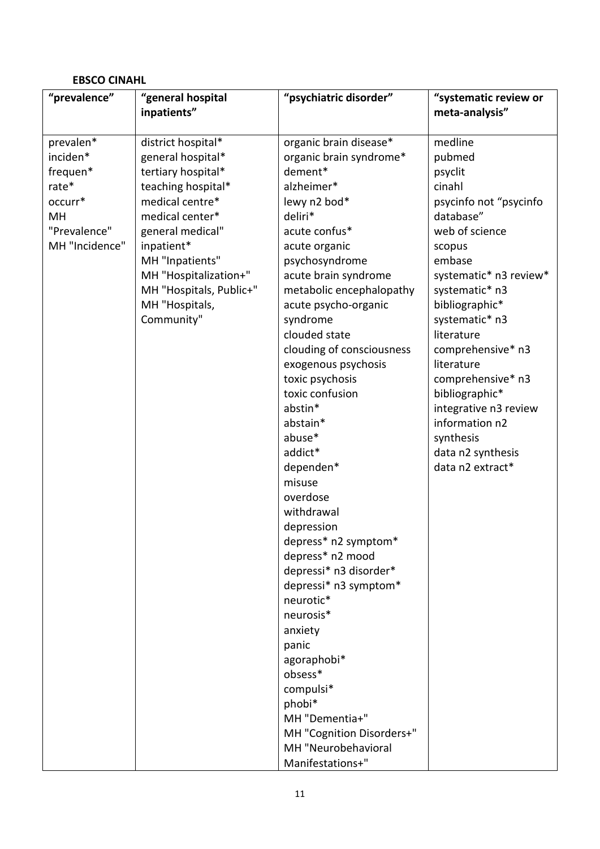## **EBSCO CINAHL**

| "prevalence"   | "general hospital       | "psychiatric disorder"    | "systematic review or  |
|----------------|-------------------------|---------------------------|------------------------|
|                | inpatients"             |                           | meta-analysis"         |
|                |                         |                           |                        |
| prevalen*      | district hospital*      | organic brain disease*    | medline                |
| inciden*       | general hospital*       | organic brain syndrome*   | pubmed                 |
| frequen*       | tertiary hospital*      | dement*                   | psyclit                |
| rate*          | teaching hospital*      | alzheimer*                | cinahl                 |
| occurr*        | medical centre*         | lewy n2 bod*              | psycinfo not "psycinfo |
| MH             | medical center*         | deliri*                   | database"              |
| "Prevalence"   | general medical"        | acute confus*             | web of science         |
| MH "Incidence" | inpatient*              | acute organic             | scopus                 |
|                | MH "Inpatients"         | psychosyndrome            | embase                 |
|                | MH "Hospitalization+"   | acute brain syndrome      | systematic* n3 review* |
|                | MH "Hospitals, Public+" | metabolic encephalopathy  | systematic* n3         |
|                | MH "Hospitals,          | acute psycho-organic      | bibliographic*         |
|                | Community"              | syndrome                  | systematic* n3         |
|                |                         | clouded state             | literature             |
|                |                         | clouding of consciousness | comprehensive* n3      |
|                |                         | exogenous psychosis       | literature             |
|                |                         | toxic psychosis           | comprehensive* n3      |
|                |                         | toxic confusion           | bibliographic*         |
|                |                         | abstin*                   | integrative n3 review  |
|                |                         | abstain*                  | information n2         |
|                |                         | abuse*                    | synthesis              |
|                |                         | addict*                   | data n2 synthesis      |
|                |                         | dependen*                 | data n2 extract*       |
|                |                         | misuse                    |                        |
|                |                         | overdose                  |                        |
|                |                         | withdrawal                |                        |
|                |                         | depression                |                        |
|                |                         | depress* n2 symptom*      |                        |
|                |                         | depress* n2 mood          |                        |
|                |                         | depressi* n3 disorder*    |                        |
|                |                         | depressi* n3 symptom*     |                        |
|                |                         | neurotic*                 |                        |
|                |                         | neurosis*                 |                        |
|                |                         | anxiety                   |                        |
|                |                         | panic                     |                        |
|                |                         | agoraphobi*               |                        |
|                |                         | obsess*                   |                        |
|                |                         | compulsi*                 |                        |
|                |                         | phobi*                    |                        |
|                |                         | MH "Dementia+"            |                        |
|                |                         | MH "Cognition Disorders+" |                        |
|                |                         | MH "Neurobehavioral       |                        |
|                |                         | Manifestations+"          |                        |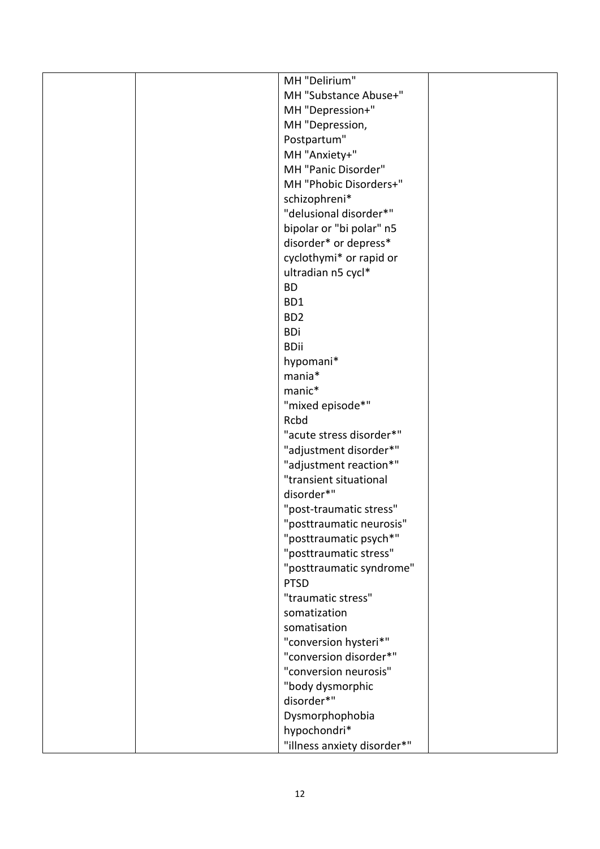|  | MH "Delirium"               |  |
|--|-----------------------------|--|
|  | MH "Substance Abuse+"       |  |
|  | MH "Depression+"            |  |
|  | MH "Depression,             |  |
|  | Postpartum"                 |  |
|  | MH "Anxiety+"               |  |
|  | MH "Panic Disorder"         |  |
|  | MH "Phobic Disorders+"      |  |
|  | schizophreni*               |  |
|  | "delusional disorder*"      |  |
|  | bipolar or "bi polar" n5    |  |
|  | disorder* or depress*       |  |
|  | cyclothymi* or rapid or     |  |
|  | ultradian n5 cycl*          |  |
|  | <b>BD</b>                   |  |
|  | BD1                         |  |
|  | BD <sub>2</sub>             |  |
|  | <b>BDi</b>                  |  |
|  | <b>BDii</b>                 |  |
|  | hypomani*                   |  |
|  | mania*                      |  |
|  | manic*                      |  |
|  | "mixed episode*"            |  |
|  | Rcbd                        |  |
|  | "acute stress disorder*"    |  |
|  | "adjustment disorder*"      |  |
|  | "adjustment reaction*"      |  |
|  | "transient situational      |  |
|  | disorder*"                  |  |
|  | "post-traumatic stress"     |  |
|  | "posttraumatic neurosis"    |  |
|  | "posttraumatic psych*"      |  |
|  | "posttraumatic stress"      |  |
|  | "posttraumatic syndrome"    |  |
|  | <b>PTSD</b>                 |  |
|  | "traumatic stress"          |  |
|  | somatization                |  |
|  | somatisation                |  |
|  | "conversion hysteri*"       |  |
|  | "conversion disorder*"      |  |
|  | "conversion neurosis"       |  |
|  | "body dysmorphic            |  |
|  | disorder*"                  |  |
|  | Dysmorphophobia             |  |
|  | hypochondri*                |  |
|  | "illness anxiety disorder*" |  |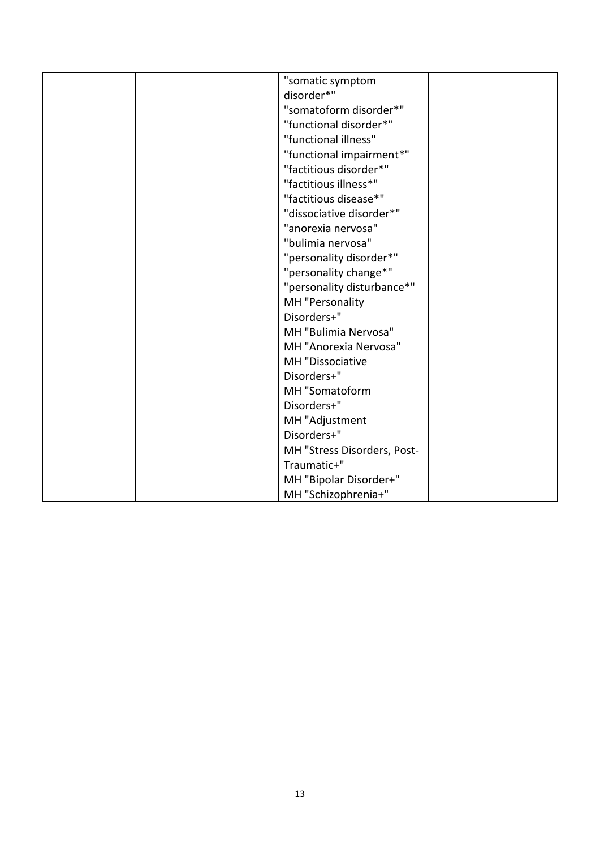| "somatic symptom            |
|-----------------------------|
| disorder*"                  |
| "somatoform disorder*"      |
| "functional disorder*"      |
| "functional illness"        |
| "functional impairment*"    |
| "factitious disorder*"      |
| "factitious illness*"       |
| "factitious disease*"       |
| "dissociative disorder*"    |
| "anorexia nervosa"          |
| "bulimia nervosa"           |
| "personality disorder*"     |
| "personality change*"       |
| "personality disturbance*"  |
| MH "Personality             |
| Disorders+"                 |
| MH "Bulimia Nervosa"        |
| MH "Anorexia Nervosa"       |
| MH "Dissociative            |
| Disorders+"                 |
| MH "Somatoform              |
| Disorders+"                 |
| MH "Adjustment              |
| Disorders+"                 |
| MH "Stress Disorders, Post- |
| Traumatic+"                 |
| MH "Bipolar Disorder+"      |
| MH "Schizophrenia+"         |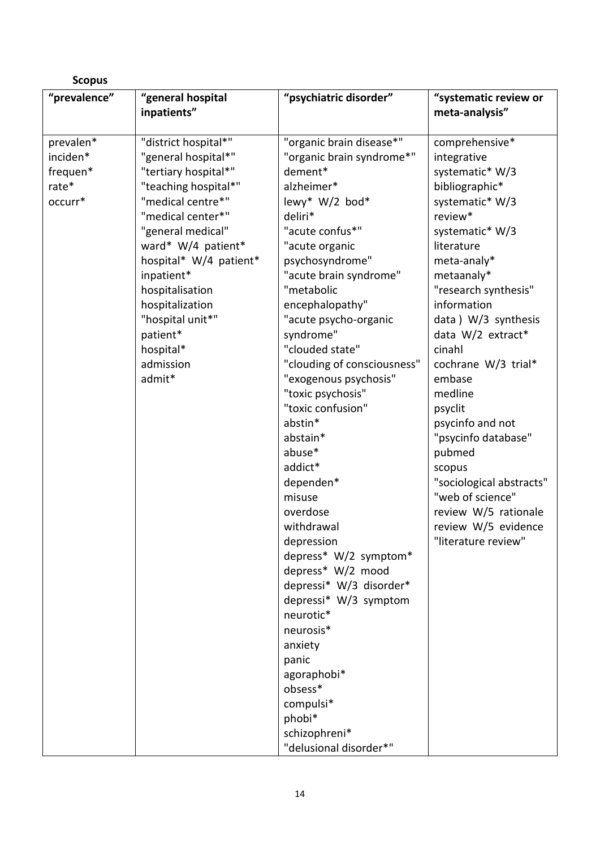| <b>Scopus</b> |                        |                             |                          |  |  |
|---------------|------------------------|-----------------------------|--------------------------|--|--|
| "prevalence"  | "general hospital      | "psychiatric disorder"      | "systematic review or    |  |  |
|               | inpatients"            |                             | meta-analysis"           |  |  |
|               |                        |                             |                          |  |  |
| prevalen*     | "district hospital*"   | "organic brain disease*"    | comprehensive*           |  |  |
| inciden*      | "general hospital*"    | "organic brain syndrome*"   | integrative              |  |  |
| frequen*      | "tertiary hospital*"   | dement*                     | systematic* W/3          |  |  |
| rate*         | "teaching hospital*"   | alzheimer*                  | bibliographic*           |  |  |
| occurr*       | "medical centre*"      | lewy* W/2 bod*              | systematic* W/3          |  |  |
|               | "medical center*"      | deliri*                     | review*                  |  |  |
|               | "general medical"      | "acute confus*"             | systematic* W/3          |  |  |
|               | ward* W/4 patient*     | "acute organic              | literature               |  |  |
|               | hospital* W/4 patient* | psychosyndrome"             | meta-analy*              |  |  |
|               | inpatient*             | "acute brain syndrome"      | metaanaly*               |  |  |
|               | hospitalisation        | "metabolic                  | "research synthesis"     |  |  |
|               | hospitalization        | encephalopathy"             | information              |  |  |
|               | "hospital unit*"       | "acute psycho-organic       | data) W/3 synthesis      |  |  |
|               | patient*               | syndrome"                   | data W/2 extract*        |  |  |
|               | hospital*              | "clouded state"             | cinahl                   |  |  |
|               | admission              | "clouding of consciousness" | cochrane W/3 trial*      |  |  |
|               | admit*                 | "exogenous psychosis"       | embase                   |  |  |
|               |                        | "toxic psychosis"           | medline                  |  |  |
|               |                        | "toxic confusion"           | psyclit                  |  |  |
|               |                        | abstin*                     | psycinfo and not         |  |  |
|               |                        | abstain*                    | "psycinfo database"      |  |  |
|               |                        | abuse*                      | pubmed                   |  |  |
|               |                        | addict*                     | scopus                   |  |  |
|               |                        | dependen*                   | "sociological abstracts" |  |  |
|               |                        | misuse                      | "web of science"         |  |  |
|               |                        | overdose                    | review W/5 rationale     |  |  |
|               |                        | withdrawal                  | review W/5 evidence      |  |  |
|               |                        | depression                  | "literature review"      |  |  |
|               |                        | depress* W/2 symptom*       |                          |  |  |
|               |                        | depress* W/2 mood           |                          |  |  |
|               |                        | depressi* W/3 disorder*     |                          |  |  |
|               |                        | depressi* W/3 symptom       |                          |  |  |
|               |                        | neurotic*                   |                          |  |  |
|               |                        | neurosis*                   |                          |  |  |
|               |                        | anxiety                     |                          |  |  |
|               |                        | panic                       |                          |  |  |
|               |                        | agoraphobi*                 |                          |  |  |
|               |                        | obsess*                     |                          |  |  |
|               |                        | compulsi*                   |                          |  |  |
|               |                        | phobi*                      |                          |  |  |
|               |                        | schizophreni*               |                          |  |  |
|               |                        | "delusional disorder*"      |                          |  |  |
|               |                        |                             |                          |  |  |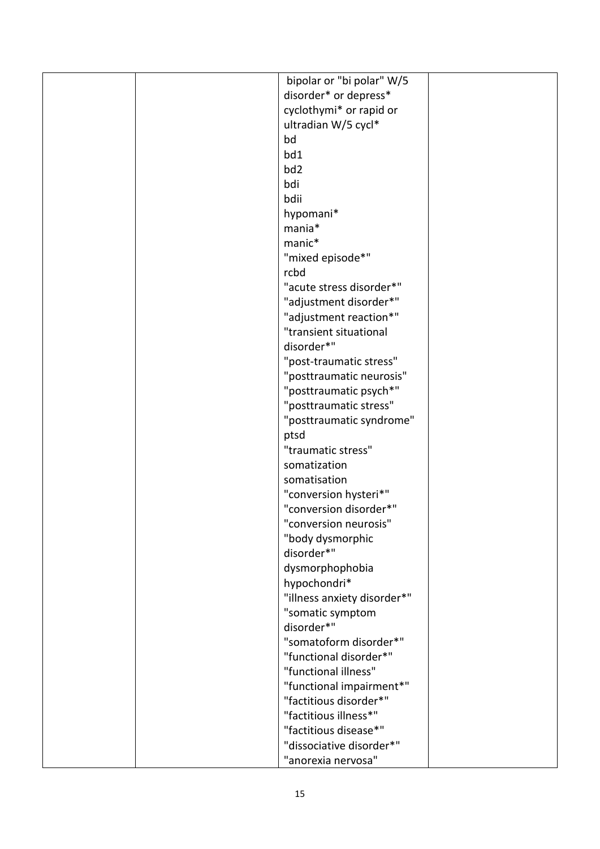| disorder* or depress*<br>cyclothymi* or rapid or<br>ultradian W/5 cycl*<br>bd<br>bd1<br>bd <sub>2</sub><br>bdi<br>bdii<br>hypomani*<br>mania*<br>manic*<br>"mixed episode*"<br>rcbd<br>"acute stress disorder*"<br>"adjustment disorder*"<br>"adjustment reaction*"<br>"transient situational<br>disorder*"<br>"post-traumatic stress"<br>"posttraumatic neurosis"<br>"posttraumatic psych*"<br>"posttraumatic stress"<br>"posttraumatic syndrome"<br>ptsd<br>"traumatic stress"<br>somatization<br>somatisation<br>"conversion hysteri*"<br>"conversion disorder*"<br>"conversion neurosis"<br>"body dysmorphic<br>disorder*"<br>dysmorphophobia<br>hypochondri*<br>"illness anxiety disorder*"<br>"somatic symptom<br>disorder*"<br>"somatoform disorder*"<br>"functional disorder*"<br>"functional illness"<br>"functional impairment*"<br>"factitious disorder*"<br>"factitious illness*"<br>"factitious disease*"<br>"dissociative disorder*" |  | bipolar or "bi polar" W/5 |  |
|----------------------------------------------------------------------------------------------------------------------------------------------------------------------------------------------------------------------------------------------------------------------------------------------------------------------------------------------------------------------------------------------------------------------------------------------------------------------------------------------------------------------------------------------------------------------------------------------------------------------------------------------------------------------------------------------------------------------------------------------------------------------------------------------------------------------------------------------------------------------------------------------------------------------------------------------------|--|---------------------------|--|
|                                                                                                                                                                                                                                                                                                                                                                                                                                                                                                                                                                                                                                                                                                                                                                                                                                                                                                                                                    |  |                           |  |
|                                                                                                                                                                                                                                                                                                                                                                                                                                                                                                                                                                                                                                                                                                                                                                                                                                                                                                                                                    |  |                           |  |
|                                                                                                                                                                                                                                                                                                                                                                                                                                                                                                                                                                                                                                                                                                                                                                                                                                                                                                                                                    |  |                           |  |
|                                                                                                                                                                                                                                                                                                                                                                                                                                                                                                                                                                                                                                                                                                                                                                                                                                                                                                                                                    |  |                           |  |
|                                                                                                                                                                                                                                                                                                                                                                                                                                                                                                                                                                                                                                                                                                                                                                                                                                                                                                                                                    |  |                           |  |
|                                                                                                                                                                                                                                                                                                                                                                                                                                                                                                                                                                                                                                                                                                                                                                                                                                                                                                                                                    |  |                           |  |
|                                                                                                                                                                                                                                                                                                                                                                                                                                                                                                                                                                                                                                                                                                                                                                                                                                                                                                                                                    |  |                           |  |
|                                                                                                                                                                                                                                                                                                                                                                                                                                                                                                                                                                                                                                                                                                                                                                                                                                                                                                                                                    |  |                           |  |
|                                                                                                                                                                                                                                                                                                                                                                                                                                                                                                                                                                                                                                                                                                                                                                                                                                                                                                                                                    |  |                           |  |
|                                                                                                                                                                                                                                                                                                                                                                                                                                                                                                                                                                                                                                                                                                                                                                                                                                                                                                                                                    |  |                           |  |
|                                                                                                                                                                                                                                                                                                                                                                                                                                                                                                                                                                                                                                                                                                                                                                                                                                                                                                                                                    |  |                           |  |
|                                                                                                                                                                                                                                                                                                                                                                                                                                                                                                                                                                                                                                                                                                                                                                                                                                                                                                                                                    |  |                           |  |
|                                                                                                                                                                                                                                                                                                                                                                                                                                                                                                                                                                                                                                                                                                                                                                                                                                                                                                                                                    |  |                           |  |
|                                                                                                                                                                                                                                                                                                                                                                                                                                                                                                                                                                                                                                                                                                                                                                                                                                                                                                                                                    |  |                           |  |
|                                                                                                                                                                                                                                                                                                                                                                                                                                                                                                                                                                                                                                                                                                                                                                                                                                                                                                                                                    |  |                           |  |
|                                                                                                                                                                                                                                                                                                                                                                                                                                                                                                                                                                                                                                                                                                                                                                                                                                                                                                                                                    |  |                           |  |
|                                                                                                                                                                                                                                                                                                                                                                                                                                                                                                                                                                                                                                                                                                                                                                                                                                                                                                                                                    |  |                           |  |
|                                                                                                                                                                                                                                                                                                                                                                                                                                                                                                                                                                                                                                                                                                                                                                                                                                                                                                                                                    |  |                           |  |
|                                                                                                                                                                                                                                                                                                                                                                                                                                                                                                                                                                                                                                                                                                                                                                                                                                                                                                                                                    |  |                           |  |
|                                                                                                                                                                                                                                                                                                                                                                                                                                                                                                                                                                                                                                                                                                                                                                                                                                                                                                                                                    |  |                           |  |
|                                                                                                                                                                                                                                                                                                                                                                                                                                                                                                                                                                                                                                                                                                                                                                                                                                                                                                                                                    |  |                           |  |
|                                                                                                                                                                                                                                                                                                                                                                                                                                                                                                                                                                                                                                                                                                                                                                                                                                                                                                                                                    |  |                           |  |
|                                                                                                                                                                                                                                                                                                                                                                                                                                                                                                                                                                                                                                                                                                                                                                                                                                                                                                                                                    |  |                           |  |
|                                                                                                                                                                                                                                                                                                                                                                                                                                                                                                                                                                                                                                                                                                                                                                                                                                                                                                                                                    |  |                           |  |
|                                                                                                                                                                                                                                                                                                                                                                                                                                                                                                                                                                                                                                                                                                                                                                                                                                                                                                                                                    |  |                           |  |
|                                                                                                                                                                                                                                                                                                                                                                                                                                                                                                                                                                                                                                                                                                                                                                                                                                                                                                                                                    |  |                           |  |
|                                                                                                                                                                                                                                                                                                                                                                                                                                                                                                                                                                                                                                                                                                                                                                                                                                                                                                                                                    |  |                           |  |
|                                                                                                                                                                                                                                                                                                                                                                                                                                                                                                                                                                                                                                                                                                                                                                                                                                                                                                                                                    |  |                           |  |
|                                                                                                                                                                                                                                                                                                                                                                                                                                                                                                                                                                                                                                                                                                                                                                                                                                                                                                                                                    |  |                           |  |
|                                                                                                                                                                                                                                                                                                                                                                                                                                                                                                                                                                                                                                                                                                                                                                                                                                                                                                                                                    |  |                           |  |
|                                                                                                                                                                                                                                                                                                                                                                                                                                                                                                                                                                                                                                                                                                                                                                                                                                                                                                                                                    |  |                           |  |
|                                                                                                                                                                                                                                                                                                                                                                                                                                                                                                                                                                                                                                                                                                                                                                                                                                                                                                                                                    |  |                           |  |
|                                                                                                                                                                                                                                                                                                                                                                                                                                                                                                                                                                                                                                                                                                                                                                                                                                                                                                                                                    |  |                           |  |
|                                                                                                                                                                                                                                                                                                                                                                                                                                                                                                                                                                                                                                                                                                                                                                                                                                                                                                                                                    |  |                           |  |
|                                                                                                                                                                                                                                                                                                                                                                                                                                                                                                                                                                                                                                                                                                                                                                                                                                                                                                                                                    |  |                           |  |
|                                                                                                                                                                                                                                                                                                                                                                                                                                                                                                                                                                                                                                                                                                                                                                                                                                                                                                                                                    |  |                           |  |
|                                                                                                                                                                                                                                                                                                                                                                                                                                                                                                                                                                                                                                                                                                                                                                                                                                                                                                                                                    |  |                           |  |
|                                                                                                                                                                                                                                                                                                                                                                                                                                                                                                                                                                                                                                                                                                                                                                                                                                                                                                                                                    |  |                           |  |
|                                                                                                                                                                                                                                                                                                                                                                                                                                                                                                                                                                                                                                                                                                                                                                                                                                                                                                                                                    |  |                           |  |
|                                                                                                                                                                                                                                                                                                                                                                                                                                                                                                                                                                                                                                                                                                                                                                                                                                                                                                                                                    |  |                           |  |
|                                                                                                                                                                                                                                                                                                                                                                                                                                                                                                                                                                                                                                                                                                                                                                                                                                                                                                                                                    |  |                           |  |
|                                                                                                                                                                                                                                                                                                                                                                                                                                                                                                                                                                                                                                                                                                                                                                                                                                                                                                                                                    |  |                           |  |
|                                                                                                                                                                                                                                                                                                                                                                                                                                                                                                                                                                                                                                                                                                                                                                                                                                                                                                                                                    |  |                           |  |
|                                                                                                                                                                                                                                                                                                                                                                                                                                                                                                                                                                                                                                                                                                                                                                                                                                                                                                                                                    |  |                           |  |
| "anorexia nervosa"                                                                                                                                                                                                                                                                                                                                                                                                                                                                                                                                                                                                                                                                                                                                                                                                                                                                                                                                 |  |                           |  |